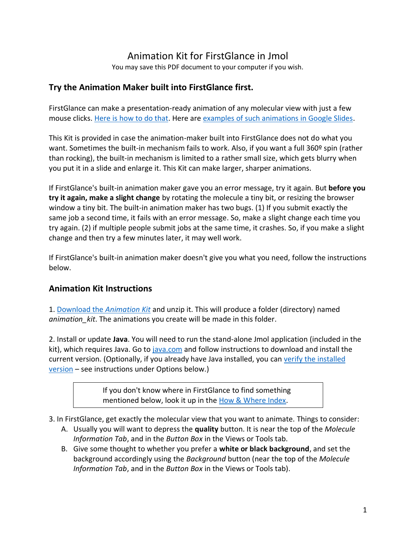# Animation Kit for FirstGlance in Jmol

You may save this PDF document to your computer if you wish.

# **Try the Animation Maker built into FirstGlance first.**

FirstGlance can make a presentation-ready animation of any molecular view with just a few mouse clicks. [Here is how to do that.](http://firstglance.jmol.org/slides.htm#a1) Here ar[e examples of such animations in Google Slides.](https://docs.google.com/presentation/d/1t-hAL5AWeGmXJdanNNusIbiLN0_c53laQe7PJrjQRe8/edit#slide=id.p)

This Kit is provided in case the animation-maker built into FirstGlance does not do what you want. Sometimes the built-in mechanism fails to work. Also, if you want a full 360<sup>o</sup> spin (rather than rocking), the built-in mechanism is limited to a rather small size, which gets blurry when you put it in a slide and enlarge it. This Kit can make larger, sharper animations.

If FirstGlance's built-in animation maker gave you an error message, try it again. But **before you try it again, make a slight change** by rotating the molecule a tiny bit, or resizing the browser window a tiny bit. The built-in animation maker has two bugs. (1) If you submit exactly the same job a second time, it fails with an error message. So, make a slight change each time you try again. (2) if multiple people submit jobs at the same time, it crashes. So, if you make a slight change and then try a few minutes later, it may well work.

If FirstGlance's built-in animation maker doesn't give you what you need, follow the instructions below.

# **Animation Kit Instructions**

1. [Download the](http://firstglance.jmol.org/animation_kit.zip) *Animation Kit* and unzip it. This will produce a folder (directory) named *animation\_kit*. The animations you create will be made in this folder.

2. Install or update **Java**. You will need to run the stand-alone Jmol application (included in the kit), which requires Java. Go to [java.com](http://java.com/) and follow instructions to download and install the current version. (Optionally, if you already have Java installed, you can verify the installed [version](#page-2-0) – see instructions under Options below.)

> If you don't know where in FirstGlance to find something mentioned below, look it up in the [How & Where Index.](http://firstglance.jmol.org/where.htm)

3. In FirstGlance, get exactly the molecular view that you want to animate. Things to consider:

- A. Usually you will want to depress the **quality** button. It is near the top of the *Molecule Information Tab*, and in the *Button Box* in the Views or Tools tab.
- B. Give some thought to whether you prefer a **white or black background**, and set the background accordingly using the *Background* button (near the top of the *Molecule Information Tab*, and in the *Button Box* in the Views or Tools tab).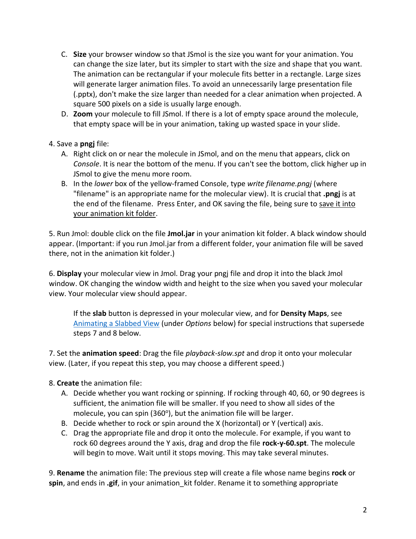- C. **Size** your browser window so that JSmol is the size you want for your animation. You can change the size later, but its simpler to start with the size and shape that you want. The animation can be rectangular if your molecule fits better in a rectangle. Large sizes will generate larger animation files. To avoid an unnecessarily large presentation file (.pptx), don't make the size larger than needed for a clear animation when projected. A square 500 pixels on a side is usually large enough.
- D. **Zoom** your molecule to fill JSmol. If there is a lot of empty space around the molecule, that empty space will be in your animation, taking up wasted space in your slide.

## 4. Save a **pngj** file:

- A. Right click on or near the molecule in JSmol, and on the menu that appears, click on *Console*. It is near the bottom of the menu. If you can't see the bottom, click higher up in JSmol to give the menu more room.
- B. In the *lower* box of the yellow-framed Console, type *write filename.pngj* (where "filename" is an appropriate name for the molecular view). It is crucial that **.pngj** is at the end of the filename. Press Enter, and OK saving the file, being sure to save it into your animation kit folder.

5. Run Jmol: double click on the file **Jmol.jar** in your animation kit folder. A black window should appear. (Important: if you run Jmol.jar from a different folder, your animation file will be saved there, not in the animation kit folder.)

6. **Display** your molecular view in Jmol. Drag your pngj file and drop it into the black Jmol window. OK changing the window width and height to the size when you saved your molecular view. Your molecular view should appear.

If the **slab** button is depressed in your molecular view, and for **Density Maps**, see [Animating a Slabbed View](#page-2-0) (under *Options* below) for special instructions that supersede steps 7 and 8 below.

7. Set the **animation speed**: Drag the file *playback-slow.spt* and drop it onto your molecular view. (Later, if you repeat this step, you may choose a different speed.)

## 8. **Create** the animation file:

- A. Decide whether you want rocking or spinning. If rocking through 40, 60, or 90 degrees is sufficient, the animation file will be smaller. If you need to show all sides of the molecule, you can spin (360°), but the animation file will be larger.
- B. Decide whether to rock or spin around the X (horizontal) or Y (vertical) axis.
- C. Drag the appropriate file and drop it onto the molecule. For example, if you want to rock 60 degrees around the Y axis, drag and drop the file **rock-y-60.spt**. The molecule will begin to move. Wait until it stops moving. This may take several minutes.

9. **Rename** the animation file: The previous step will create a file whose name begins **rock** or **spin**, and ends in **.gif**, in your animation\_kit folder. Rename it to something appropriate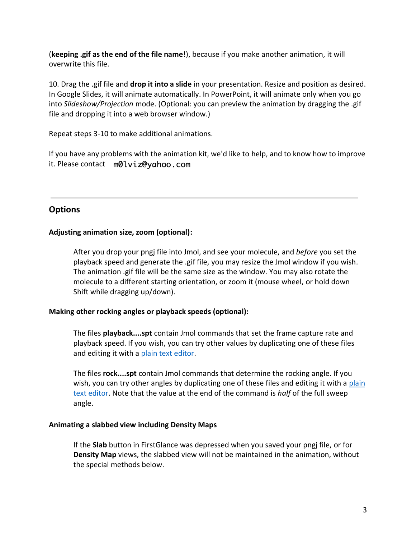(**keeping .gif as the end of the file name!**), because if you make another animation, it will overwrite this file.

10. Drag the .gif file and **drop it into a slide** in your presentation. Resize and position as desired. In Google Slides, it will animate automatically. In PowerPoint, it will animate only when you go into *Slideshow/Projection* mode. (Optional: you can preview the animation by dragging the .gif file and dropping it into a web browser window.)

Repeat steps 3-10 to make additional animations.

If you have any problems with the animation kit, we'd like to help, and to know how to improve it. Please contact m0lviz@yahoo.com

# **Options**

## **Adjusting animation size, zoom (optional):**

After you drop your pngj file into Jmol, and see your molecule, and *before* you set the playback speed and generate the .gif file, you may resize the Jmol window if you wish. The animation .gif file will be the same size as the window. You may also rotate the molecule to a different starting orientation, or zoom it (mouse wheel, or hold down Shift while dragging up/down).

### **Making other rocking angles or playback speeds (optional):**

The files **playback....spt** contain Jmol commands that set the frame capture rate and playback speed. If you wish, you can try other values by duplicating one of these files and editing it with a [plain text editor.](http://proteopedia.org/wiki/index.php/Help:Plain_text_editors)

The files **rock....spt** contain Jmol commands that determine the rocking angle. If you wish, you can try other angles by duplicating one of these files and editing it with a plain [text editor.](http://proteopedia.org/wiki/index.php/Help:Plain_text_editors) Note that the value at the end of the command is *half* of the full sweep angle.

### <span id="page-2-0"></span>**Animating a slabbed view including Density Maps**

If the **Slab** button in FirstGlance was depressed when you saved your pngj file, or for **Density Map** views, the slabbed view will not be maintained in the animation, without the special methods below.